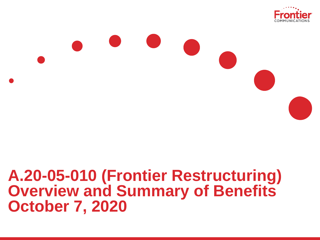

# **A.20-05-010 (Frontier Restructuring) Overview and Summary of Benefits October 7, 2020**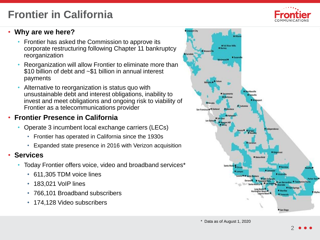# **Frontier in California**



#### • **Why are we here?**

- Frontier has asked the Commission to approve its corporate restructuring following Chapter 11 bankruptcy reorganization
- Reorganization will allow Frontier to eliminate more than \$10 billion of debt and ~\$1 billion in annual interest payments
- Alternative to reorganization is status quo with unsustainable debt and interest obligations, inability to invest and meet obligations and ongoing risk to viability of Frontier as a telecommunications provider

# • **Frontier Presence in California**

- Operate 3 incumbent local exchange carriers (LECs)
	- Frontier has operated in California since the 1930s
	- Expanded state presence in 2016 with Verizon acquisition

#### • **Services**

- Today Frontier offers voice, video and broadband services\*
	- 611,305 TDM voice lines
	- 183,021 VoIP lines
	- 766,101 Broadband subscribers
	- 174,128 Video subscribers

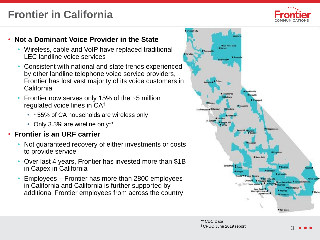# **Frontier in California**



## • **Not a Dominant Voice Provider in the State**

- Wireless, cable and VoIP have replaced traditional LEC landline voice services
- Consistent with national and state trends experienced by other landline telephone voice service providers, Frontier has lost vast majority of its voice customers in California
- Frontier now serves only 15% of the  $\sim$ 5 million regulated voice lines in CA†
	- ~55% of CA households are wireless only
	- Only 3.3% are wireline only\*\*

# • **Frontier is an URF carrier**

- Not guaranteed recovery of either investments or costs to provide service
- Over last 4 years, Frontier has invested more than \$1B in Capex in California
- Employees Frontier has more than 2800 employees in California and California is further supported by additional Frontier employees from across the country

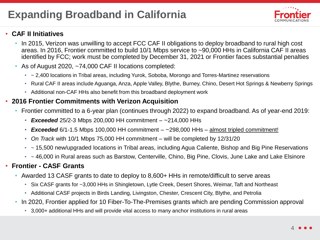## • **CAF II Initiatives**

- In 2015, Verizon was unwilling to accept FCC CAF II obligations to deploy broadband to rural high cost areas. In 2016, Frontier committed to build 10/1 Mbps service to ~90,000 HHs in California CAF II areas identified by FCC; work must be completed by December 31, 2021 or Frontier faces substantial penalties
- As of August 2020, ~74,000 CAF II locations completed:
	- ~ 2,400 locations in Tribal areas, including Yurok, Soboba, Morongo and Torres-Martinez reservations
	- Rural CAF II areas include Aguanga, Anza, Apple Valley, Blythe, Burney, Chino, Desert Hot Springs & Newberry Springs
	- Additional non-CAF HHs also benefit from this broadband deployment work

#### • **2016 Frontier Commitments with Verizon Acquisition**

- Frontier committed to a 6-year plan (continues through 2022) to expand broadband. As of year-end 2019:
	- *Exceeded* 25/2-3 Mbps 200,000 HH commitment ~214,000 HHs
	- **Exceeded**  $6/1$ -1.5 Mbps 100,000 HH commitment  $-$  ~298,000 HHs  $-$  almost tripled commitment!
	- *On Track* with 10/1 Mbps 75,000 HH commitment will be completed by 12/31/20
	- ~ 15,500 new/upgraded locations in Tribal areas, including Agua Caliente, Bishop and Big Pine Reservations
	- ~ 46,000 in Rural areas such as Barstow, Centerville, Chino, Big Pine, Clovis, June Lake and Lake Elsinore

#### • **Frontier - CASF Grants**

- Awarded 13 CASF grants to date to deploy to 8,600+ HHs in remote/difficult to serve areas
	- Six CASF grants for ~3,000 HHs in Shingletown, Lytle Creek, Desert Shores, Weimar, Taft and Northeast
	- Additional CASF projects in Birds Landing, Livingston, Chester, Crescent City, Blythe, and Petrolia
- In 2020, Frontier applied for 10 Fiber-To-The-Premises grants which are pending Commission approval
	- 3,000+ additional HHs and will provide vital access to many anchor institutions in rural areas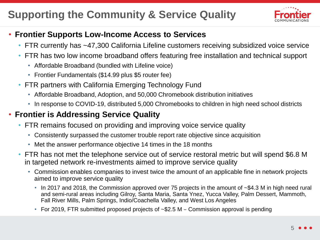# **Supporting the Community & Service Quality**



# • **Frontier Supports Low-Income Access to Services**

- FTR currently has ~47,300 California Lifeline customers receiving subsidized voice service
- FTR has two low income broadband offers featuring free installation and technical support
	- Affordable Broadband (bundled with Lifeline voice)
	- Frontier Fundamentals (\$14.99 plus \$5 router fee)
- FTR partners with California Emerging Technology Fund
	- Affordable Broadband, Adoption, and 50,000 Chromebook distribution initiatives
	- In response to COVID-19, distributed 5,000 Chromebooks to children in high need school districts

# • **Frontier is Addressing Service Quality**

- FTR remains focused on providing and improving voice service quality
	- Consistently surpassed the customer trouble report rate objective since acquisition
	- Met the answer performance objective 14 times in the 18 months
- FTR has not met the telephone service out of service restoral metric but will spend \$6.8 M in targeted network re-investments aimed to improve service quality
	- Commission enables companies to invest twice the amount of an applicable fine in network projects aimed to improve service quality
		- In 2017 and 2018, the Commission approved over 75 projects in the amount of ~\$4.3 M in high need rural and semi-rural areas including Gilroy, Santa Maria, Santa Ynez, Yucca Valley, Palm Dessert, Mammoth, Fall River Mills, Palm Springs, Indio/Coachella Valley, and West Los Angeles
		- For 2019, FTR submitted proposed projects of  $\sim$ \$2.5 M Commission approval is pending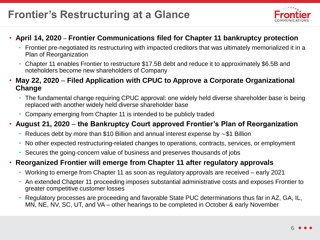# **Frontier's Restructuring at a Glance**



## • **April 14, 2020** – **Frontier Communications filed for Chapter 11 bankruptcy protection**

- Frontier pre-negotiated its restructuring with impacted creditors that was ultimately memorialized it in a Plan of Reorganization
- Chapter 11 enables Frontier to restructure \$17.5B debt and reduce it to approximately \$6.5B and noteholders become new shareholders of Company
- **May 22, 2020 Filed Application with CPUC to Approve a Corporate Organizational Change**
	- The fundamental change requiring CPUC approval: one widely held diverse shareholder base is being replaced with another widely held diverse shareholder base
	- Company emerging from Chapter 11 is intended to be publicly traded

## • **August 21, 2020** – **the Bankruptcy Court approved Frontier's Plan of Reorganization**

- Reduces debt by more than \$10 Billion and annual interest expense by  $\sim$  \$1 Billion
- No other expected restructuring-related changes to operations, contracts, services, or employment
- Secures the going-concern value of business and preserves thousands of jobs

# • **Reorganized Frontier will emerge from Chapter 11 after regulatory approvals**

- Working to emerge from Chapter 11 as soon as regulatory approvals are received early 2021
- An extended Chapter 11 proceeding imposes substantial administrative costs and exposes Frontier to greater competitive customer losses
- Regulatory processes are proceeding and favorable State PUC determinations thus far in AZ, GA, IL, MN, NE, NV, SC, UT, and VA – other hearings to be completed in October & early November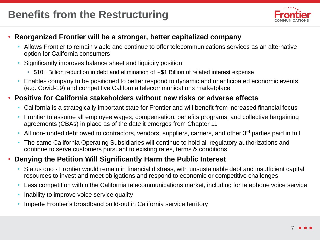

## • **Reorganized Frontier will be a stronger, better capitalized company**

- Allows Frontier to remain viable and continue to offer telecommunications services as an alternative option for California consumers
- Significantly improves balance sheet and liquidity position
	- $$10+$  Billion reduction in debt and elimination of  $~51$  Billion of related interest expense
- Enables company to be positioned to better respond to dynamic and unanticipated economic events (e.g. Covid-19) and competitive California telecommunications marketplace

## • **Positive for California stakeholders without new risks or adverse effects**

- California is a strategically important state for Frontier and will benefit from increased financial focus
- Frontier to assume all employee wages, compensation, benefits programs, and collective bargaining agreements (CBAs) in place as of the date it emerges from Chapter 11
- All non-funded debt owed to contractors, vendors, suppliers, carriers, and other 3<sup>rd</sup> parties paid in full
- The same California Operating Subsidiaries will continue to hold all regulatory authorizations and continue to serve customers pursuant to existing rates, terms & conditions

## • **Denying the Petition Will Significantly Harm the Public Interest**

- Status quo Frontier would remain in financial distress, with unsustainable debt and insufficient capital resources to invest and meet obligations and respond to economic or competitive challenges
- Less competition within the California telecommunications market, including for telephone voice service
- Inability to improve voice service quality
- Impede Frontier's broadband build-out in California service territory